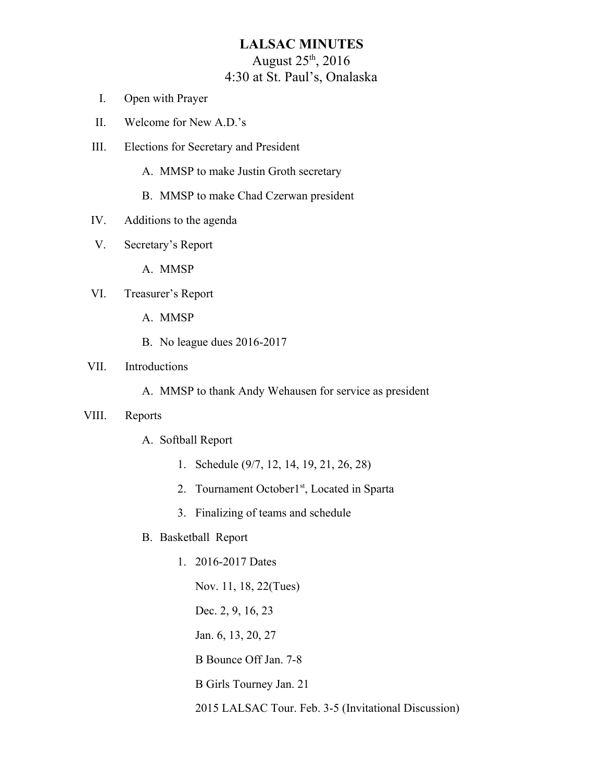# **LALSAC MINUTES** August 25th, 2016 4:30 at St. Paul's, Onalaska

- I. Open with Prayer
- II. Welcome for New A.D.'s
- III. Elections for Secretary and President
	- A. MMSP to make Justin Groth secretary
	- B. MMSP to make Chad Czerwan president
- IV. Additions to the agenda
- V. Secretary's Report

A. MMSP

- VI. Treasurer's Report
	- A. MMSP
	- B. No league dues 2016-2017

### VII. Introductions

A. MMSP to thank Andy Wehausen for service as president

#### VIII. Reports

- A. Softball Report
	- 1. Schedule (9/7, 12, 14, 19, 21, 26, 28)
	- 2. Tournament October1<sup>st</sup>, Located in Sparta
	- 3. Finalizing of teams and schedule
- B. Basketball Report
	- 1. 2016-2017 Dates

Nov. 11, 18, 22(Tues) Dec. 2, 9, 16, 23 Jan. 6, 13, 20, 27 B Bounce Off Jan. 7-8 B Girls Tourney Jan. 21 2015 LALSAC Tour. Feb. 3-5 (Invitational Discussion)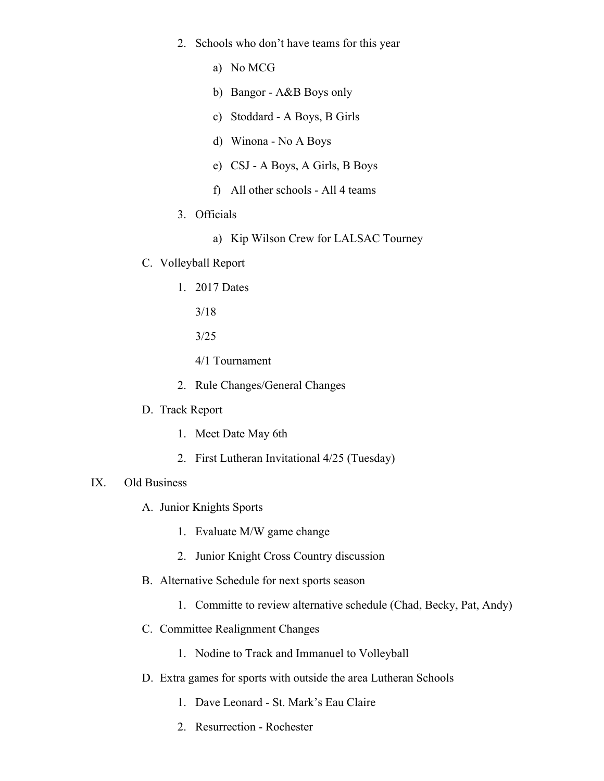- 2. Schools who don't have teams for this year
	- a) No MCG
	- b) Bangor A&B Boys only
	- c) Stoddard A Boys, B Girls
	- d) Winona No A Boys
	- e) CSJ A Boys, A Girls, B Boys
	- f) All other schools All 4 teams
- 3. Officials
	- a) Kip Wilson Crew for LALSAC Tourney
- C. Volleyball Report
	- 1. 2017 Dates
		- 3/18
		- 3/25
		- 4/1 Tournament
	- 2. Rule Changes/General Changes
- D. Track Report
	- 1. Meet Date May 6th
	- 2. First Lutheran Invitational 4/25 (Tuesday)

## IX. Old Business

- A. Junior Knights Sports
	- 1. Evaluate M/W game change
	- 2. Junior Knight Cross Country discussion
- B. Alternative Schedule for next sports season
	- 1. Committe to review alternative schedule (Chad, Becky, Pat, Andy)
- C. Committee Realignment Changes
	- 1. Nodine to Track and Immanuel to Volleyball
- D. Extra games for sports with outside the area Lutheran Schools
	- 1. Dave Leonard St. Mark's Eau Claire
	- 2. Resurrection Rochester